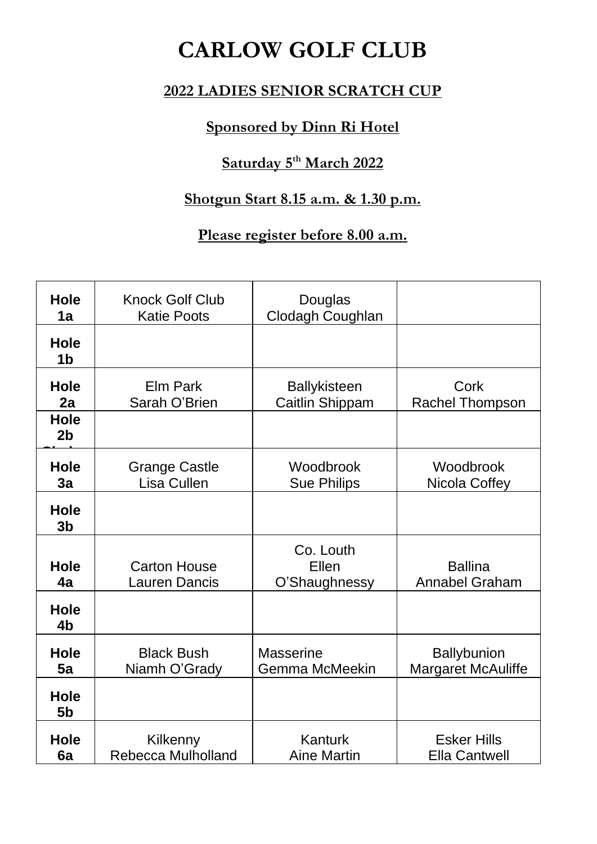# **CARLOW GOLF CLUB**

### **2022 LADIES SENIOR SCRATCH CUP**

## **Sponsored by Dinn Ri Hotel**

## **Saturday 5 th March 2022**

# **Shotgun Start 8.15 a.m. & 1.30 p.m.**

## **Please register before 8.00 a.m.**

| <b>Hole</b><br>1a             | <b>Knock Golf Club</b><br><b>Katie Poots</b> | Douglas<br><b>Clodagh Coughlan</b>        |                                                 |
|-------------------------------|----------------------------------------------|-------------------------------------------|-------------------------------------------------|
| <b>Hole</b><br>1 <sub>b</sub> |                                              |                                           |                                                 |
| <b>Hole</b><br>2a             | <b>Elm Park</b><br>Sarah O'Brien             | <b>Ballykisteen</b><br>Caitlin Shippam    | Cork<br><b>Rachel Thompson</b>                  |
| <b>Hole</b><br>2 <sub>b</sub> |                                              |                                           |                                                 |
| <b>Hole</b><br>3a             | <b>Grange Castle</b><br>Lisa Cullen          | Woodbrook<br><b>Sue Philips</b>           | Woodbrook<br>Nicola Coffey                      |
| <b>Hole</b><br>3 <sub>b</sub> |                                              |                                           |                                                 |
| <b>Hole</b><br>4a             | <b>Carton House</b><br><b>Lauren Dancis</b>  | Co. Louth<br>Ellen<br>O'Shaughnessy       | <b>Ballina</b><br><b>Annabel Graham</b>         |
| <b>Hole</b><br>4 <sub>b</sub> |                                              |                                           |                                                 |
| <b>Hole</b><br>5a             | <b>Black Bush</b><br>Niamh O'Grady           | <b>Masserine</b><br><b>Gemma McMeekin</b> | <b>Ballybunion</b><br><b>Margaret McAuliffe</b> |
| <b>Hole</b><br>5 <sub>b</sub> |                                              |                                           |                                                 |
| <b>Hole</b><br>6a             | Kilkenny<br><b>Rebecca Mulholland</b>        | Kanturk<br><b>Aine Martin</b>             | <b>Esker Hills</b><br><b>Ella Cantwell</b>      |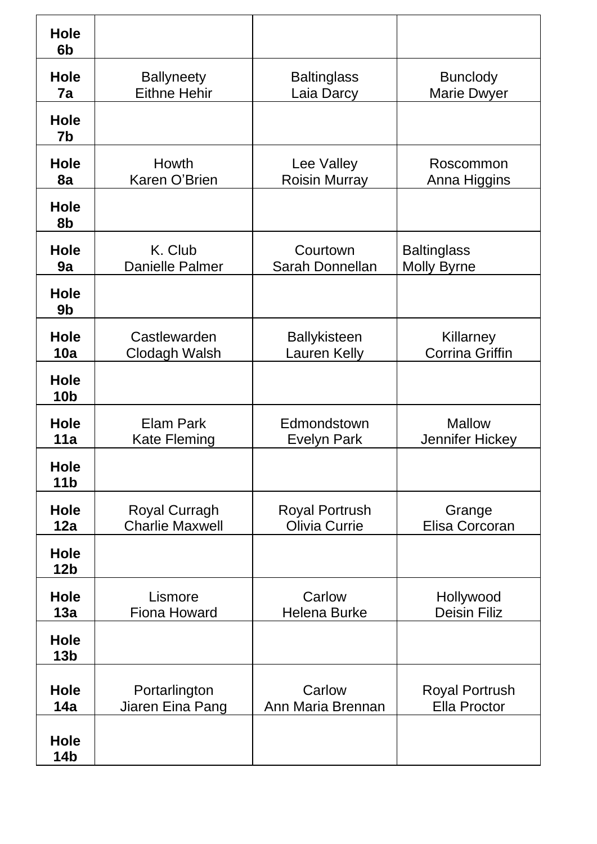| Hole<br>6 <sub>b</sub>         |                                                |                                               |                                              |
|--------------------------------|------------------------------------------------|-----------------------------------------------|----------------------------------------------|
| Hole<br>7a                     | <b>Ballyneety</b><br><b>Eithne Hehir</b>       | <b>Baltinglass</b><br>Laia Darcy              | <b>Bunclody</b><br><b>Marie Dwyer</b>        |
| <b>Hole</b><br>7b              |                                                |                                               |                                              |
| <b>Hole</b><br>8a              | Howth<br>Karen O'Brien                         | Lee Valley<br><b>Roisin Murray</b>            | Roscommon<br>Anna Higgins                    |
| <b>Hole</b><br>8b              |                                                |                                               |                                              |
| <b>Hole</b><br>9a              | K. Club<br><b>Danielle Palmer</b>              | Courtown<br>Sarah Donnellan                   | <b>Baltinglass</b><br><b>Molly Byrne</b>     |
| Hole<br>9 <sub>b</sub>         |                                                |                                               |                                              |
| Hole<br>10a                    | Castlewarden<br>Clodagh Walsh                  | <b>Ballykisteen</b><br>Lauren Kelly           | Killarney<br><b>Corrina Griffin</b>          |
| <b>Hole</b><br>10 <sub>b</sub> |                                                |                                               |                                              |
| <b>Hole</b><br>11a             | <b>Elam Park</b><br><b>Kate Fleming</b>        | Edmondstown<br>Evelyn Park                    | <b>Mallow</b><br>Jennifer Hickey             |
| <b>Hole</b><br>11 <sub>b</sub> |                                                |                                               |                                              |
| <b>Hole</b><br>12a             | <b>Royal Curragh</b><br><b>Charlie Maxwell</b> | <b>Royal Portrush</b><br><b>Olivia Currie</b> | Grange<br>Elisa Corcoran                     |
| <b>Hole</b><br>12 <sub>b</sub> |                                                |                                               |                                              |
| <b>Hole</b><br>13a             | Lismore<br><b>Fiona Howard</b>                 | Carlow<br><b>Helena Burke</b>                 | Hollywood<br><b>Deisin Filiz</b>             |
| <b>Hole</b><br>13 <sub>b</sub> |                                                |                                               |                                              |
| <b>Hole</b><br>14a             | Portarlington<br>Jiaren Eina Pang              | Carlow<br>Ann Maria Brennan                   | <b>Royal Portrush</b><br><b>Ella Proctor</b> |
| Hole<br><b>14b</b>             |                                                |                                               |                                              |